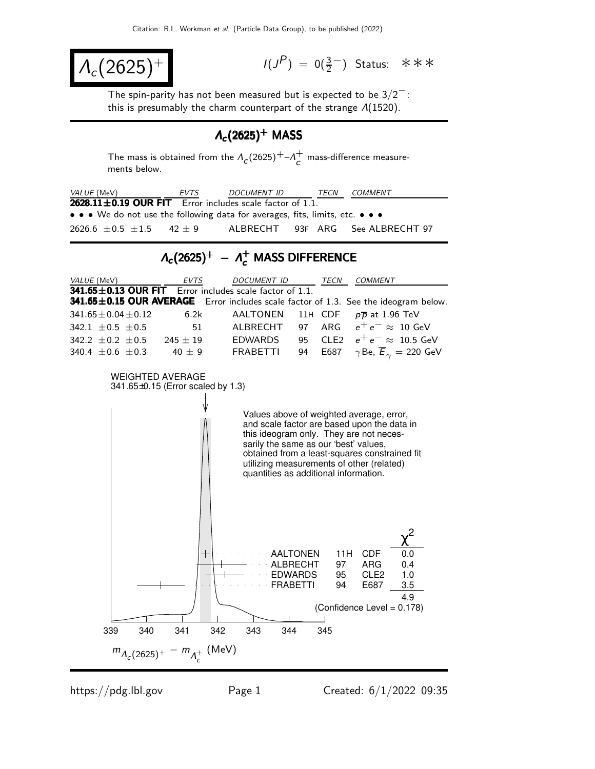$$
\lambda_c(2625)^+\qquad \qquad \blacksquare
$$

 $(P) = 0(\frac{3}{2}^-)$  Status: ∗∗∗

The spin-parity has not been measured but is expected to be  $3/2^-$ : this is presumably the charm counterpart of the strange  $\Lambda(1520)$ .

## $\Lambda_c(2625)^+$  MASS

The mass is obtained from the  $\Lambda_c(2625)^+$ – $\Lambda_c^+$  $\overline{c}$  mass-difference measurements below.

| VALUE (MeV)                                                                         | EVTS                                                  | DOCUMENT ID                                       | TECN                                                      | <b>COMMENT</b>                                                                                                                                                                                                                                                                                                     |                                                |
|-------------------------------------------------------------------------------------|-------------------------------------------------------|---------------------------------------------------|-----------------------------------------------------------|--------------------------------------------------------------------------------------------------------------------------------------------------------------------------------------------------------------------------------------------------------------------------------------------------------------------|------------------------------------------------|
| $2628.11 \pm 0.19$ OUR FIT Error includes scale factor of 1.1.                      |                                                       |                                                   |                                                           |                                                                                                                                                                                                                                                                                                                    |                                                |
| • We do not use the following data for averages, fits, limits, etc.                 |                                                       |                                                   |                                                           |                                                                                                                                                                                                                                                                                                                    |                                                |
| 2626.6 $\pm$ 0.5 $\pm$ 1.5                                                          | $42 \pm 9$                                            | <b>ALBRECHT</b>                                   | 93F ARG                                                   |                                                                                                                                                                                                                                                                                                                    | See ALBRECHT 97                                |
|                                                                                     |                                                       | $\Lambda_c(2625)^+ - \Lambda_c^+$ MASS DIFFERENCE |                                                           |                                                                                                                                                                                                                                                                                                                    |                                                |
| VALUE (MeV)                                                                         | EVTS                                                  | DOCUMENT ID                                       |                                                           | TECN<br><i>COMMENT</i>                                                                                                                                                                                                                                                                                             |                                                |
| 341.65±0.13 OUR FIT                                                                 |                                                       | Error includes scale factor of 1.1.               |                                                           |                                                                                                                                                                                                                                                                                                                    |                                                |
| 341.65±0.15 OUR AVERAGE Error includes scale factor of 1.3. See the ideogram below. |                                                       |                                                   |                                                           |                                                                                                                                                                                                                                                                                                                    |                                                |
| $341.65 \pm 0.04 \pm 0.12$                                                          | 6.2k                                                  | AALTONEN                                          | 11H CDF                                                   | $p\overline{p}$ at 1.96 TeV                                                                                                                                                                                                                                                                                        |                                                |
| 342.1 $\pm$ 0.5 $\pm$ 0.5                                                           | 51                                                    | ALBRECHT                                          | ARG<br>97                                                 |                                                                                                                                                                                                                                                                                                                    | $e^+e^- \approx 10 \text{ GeV}$                |
| 342.2 $\pm$ 0.2 $\pm$ 0.5                                                           | $245 \pm 19$                                          | EDWARDS                                           | 95                                                        | CLE <sub>2</sub>                                                                                                                                                                                                                                                                                                   | $e^+e^- \approx 10.5$ GeV                      |
| 340.4 $\pm$ 0.6 $\pm$ 0.3                                                           | 40 $\pm$ 9                                            | <b>FRABETTI</b>                                   | 94                                                        | E687                                                                                                                                                                                                                                                                                                               | $\gamma$ Be, $\overline{E}_{\gamma} = 220$ GeV |
|                                                                                     | WEIGHTED AVERAGE<br>341.65±0.15 (Error scaled by 1.3) |                                                   |                                                           | Values above of weighted average, error,<br>and scale factor are based upon the data in<br>this ideogram only. They are not neces-<br>sarily the same as our 'best' values,<br>obtained from a least-squares constrained fit<br>utilizing measurements of other (related)<br>quantities as additional information. |                                                |
| 339<br>340                                                                          | ╅<br>341                                              | 343<br>344<br>342                                 | AALTONEN<br>ALBRECHT<br>EDWARDS<br><b>FRABETTI</b><br>345 | 11H<br><b>CDF</b><br>97<br>ARG<br>95<br>CLE2<br>94<br>E687<br>(Confidence Level = 0.178)                                                                                                                                                                                                                           | 0.0<br>0.4<br>1.0<br>3.5<br>4.9                |
|                                                                                     | $m_{\Lambda_c(2625)^+} - m_{\Lambda_c^+}$ (MeV)       |                                                   |                                                           |                                                                                                                                                                                                                                                                                                                    |                                                |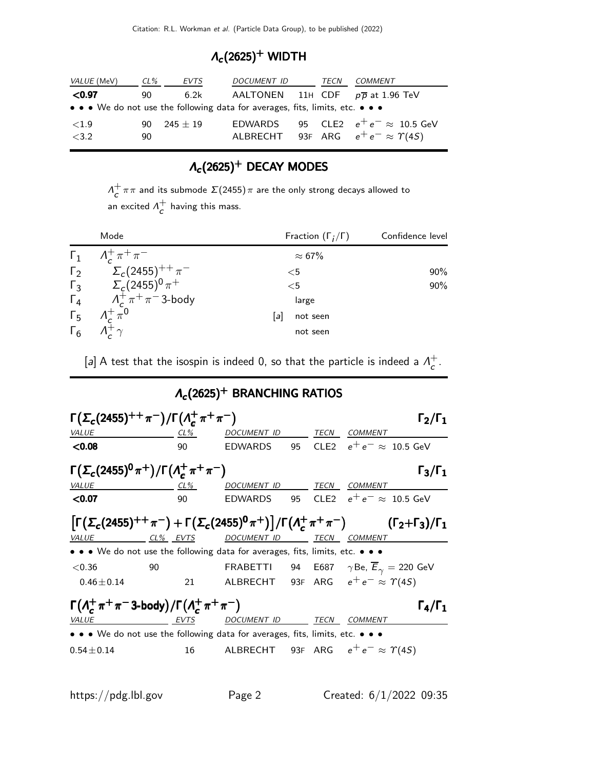## $\Lambda_c(2625)^+$  WIDTH

| VALUE (MeV) | $CL\%$ | EVTS       | DOCUMENT ID                                                                   | TECN | <b>COMMENT</b>                                 |
|-------------|--------|------------|-------------------------------------------------------------------------------|------|------------------------------------------------|
| < 0.97      | 90     | 6.2k       |                                                                               |      | AALTONEN 11H CDF $p\overline{p}$ at 1.96 TeV   |
|             |        |            | • • • We do not use the following data for averages, fits, limits, etc. • • • |      |                                                |
| ${<}1.9$    | 90.    | $245 + 19$ |                                                                               |      | EDWARDS 95 CLE2 $e^+e^- \approx 10.5$ GeV      |
| < 3.2       | 90     |            |                                                                               |      | ALBRECHT 93F ARG $e^+e^- \approx \Upsilon(4S)$ |

## $\Lambda_c(2625)^+$  DECAY MODES

 $\Lambda_c^+$  $\frac{\tau}{c}$ ππ and its submode  $\Sigma(2455)\pi$  are the only strong decays allowed to an excited  $\Lambda^+$  $\overline{c}$  having this mass.

|            | Mode                                         | Fraction $(\Gamma_i/\Gamma)$ | Confidence level |  |  |
|------------|----------------------------------------------|------------------------------|------------------|--|--|
|            | $\Gamma_1$ $A_c^+ \pi^+ \pi^-$               | $\approx 67\%$               |                  |  |  |
|            | $\Gamma_2 \qquad \Sigma_c (2455)^{++} \pi^-$ | $<$ 5                        | 90%              |  |  |
|            | $\Gamma_3$ $\Sigma_c (2455)^0 \pi^+$         | $<$ 5                        | 90%              |  |  |
|            | $\Gamma_4$ $\Lambda_c^+\pi^+\pi^-$ 3-body    | large                        |                  |  |  |
| $\Gamma_5$ | $\Lambda_c^+\pi^0$                           | not seen<br>lal              |                  |  |  |
|            | $\Gamma_6$ $\Lambda_c^{\ddagger}$ $\gamma$   | not seen                     |                  |  |  |

[a] A test that the isospin is indeed 0, so that the particle is indeed a  $\Lambda_c^+$  $\frac{+}{c}$  .

 $\Lambda_c$ (2625) $^+$  BRANCHING RATIOS

Γ $(\Sigma_c(2455)^{++} \pi^-)/\Gamma(\Lambda_c^+)$ Γ( $\Sigma_c$ (2455)<sup>++</sup> π<sup>--</sup>)/Γ( $\Lambda_c^+$  π<sup>+</sup> π<sup>--</sup>) Γ<sub>2</sub>/Γ<sub>1</sub> VALUE CL% DOCUMENT ID TECN COMMENT  $\leq$ 0.08 90 EDWARDS 95 CLE2  $e^+e^- \approx 10.5$  GeV Γ $(\Sigma_c(2455)^0 \pi^+)$ /Γ $(\Lambda_c^+$  $\Gamma(\Sigma_c(2455)^0 \pi^+) / \Gamma(\Lambda_c^+ \pi^+ \pi^-)$  Γ<sub>3</sub>/Γ<sub>1</sub> VALUE CL% DOCUMENT ID TECN COMMENT  $\leq$ 0.07 90 EDWARDS 95 CLE2  $e^+e^- \approx 10.5$  GeV  $\left[\Gamma(\Sigma_c(2455)^{++} \pi^-)+\Gamma(\Sigma_c(2455)^0 \pi^+)\right] / \Gamma(\Lambda_c^+$  $\left[ \Gamma(\Sigma_c(2455)^{++}\pi^-) + \Gamma(\Sigma_c(2455)^0\pi^+) \right] / \Gamma(\Lambda_c^+\pi^+\pi^-)$  (Γ<sub>2</sub>+Γ<sub>3</sub>)/Γ<sub>1</sub> VALUE CL<sup>%</sup> EVTS DOCUMENT ID TECN COMMENT • • • We do not use the following data for averages, fits, limits, etc. • • • <0.36 90 FRABETTI 94 E687 γ Be, Eγ = 220 GeV  $0.46\pm0.14$  21 ALBRECHT 93F ARG  $e^+ \, e^- \stackrel{'}{\approx} \, \Upsilon(4S)$  $\Gamma(\Lambda_c^+)$  $\frac{1}{c}$  π<sup>+</sup> π<sup>-</sup> 3-body)/Γ(Λ<del>' </del>  $\Gamma(\Lambda_c^+\pi^+\pi^-)$  Γ<sub>4</sub>/Γ<sub>1</sub> VALUE **EVTS** DOCUMENT ID TECN COMMENT • • • We do not use the following data for averages, fits, limits, etc. • • •  $0.54 \pm 0.14$  16 ALBRECHT 93F ARG  $e^+e^- \approx \Upsilon(4S)$